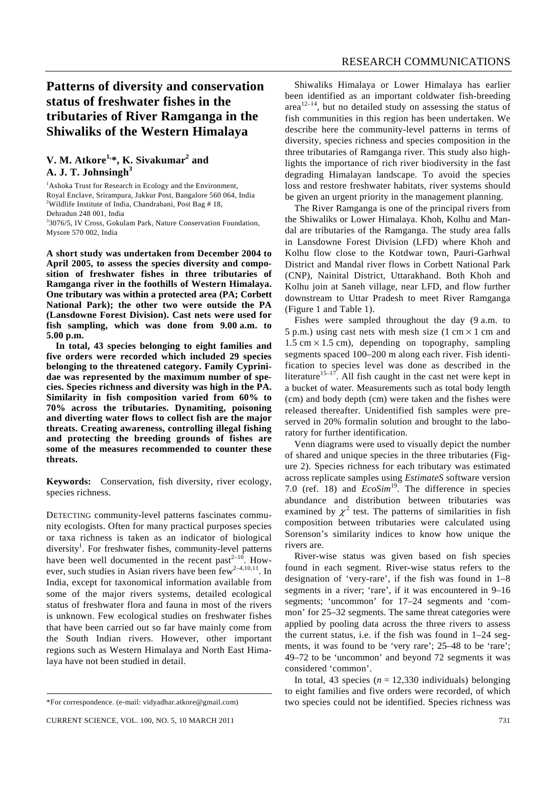# **Patterns of diversity and conservation status of freshwater fishes in the tributaries of River Ramganga in the Shiwaliks of the Western Himalaya**

### **V. M. Atkore<sup>1,\*</sup>, K. Sivakumar<sup>2</sup> and A. J. T. Johnsingh<sup>3</sup>**

<sup>1</sup>Ashoka Trust for Research in Ecology and the Environment, Royal Enclave, Srirampura, Jakkur Post, Bangalore 560 064, India <sup>2</sup>Wildlife Institute of India, Chandrabani, Post Bag # 18, Dehradun 248 001, India

3 3076/5, IV Cross, Gokulam Park, Nature Conservation Foundation, Mysore 570 002, India

**A short study was undertaken from December 2004 to April 2005, to assess the species diversity and composition of freshwater fishes in three tributaries of Ramganga river in the foothills of Western Himalaya. One tributary was within a protected area (PA; Corbett National Park); the other two were outside the PA (Lansdowne Forest Division). Cast nets were used for fish sampling, which was done from 9.00 a.m. to 5.00 p.m.** 

 **In total, 43 species belonging to eight families and five orders were recorded which included 29 species belonging to the threatened category. Family Cyprinidae was represented by the maximum number of species. Species richness and diversity was high in the PA. Similarity in fish composition varied from 60% to 70% across the tributaries. Dynamiting, poisoning and diverting water flows to collect fish are the major threats. Creating awareness, controlling illegal fishing and protecting the breeding grounds of fishes are some of the measures recommended to counter these threats.** 

**Keywords:** Conservation, fish diversity, river ecology, species richness.

DETECTING community-level patterns fascinates community ecologists. Often for many practical purposes species or taxa richness is taken as an indicator of biological diversity<sup>1</sup>. For freshwater fishes, community-level patterns have been well documented in the recent past $2^{-10}$ . However, such studies in Asian rivers have been  $few^{2-4,10,11}$ . In India, except for taxonomical information available from some of the major rivers systems, detailed ecological status of freshwater flora and fauna in most of the rivers is unknown. Few ecological studies on freshwater fishes that have been carried out so far have mainly come from the South Indian rivers. However, other important regions such as Western Himalaya and North East Himalaya have not been studied in detail.

 Shiwaliks Himalaya or Lower Himalaya has earlier been identified as an important coldwater fish-breeding area<sup>12–14</sup>, but no detailed study on assessing the status of fish communities in this region has been undertaken. We describe here the community-level patterns in terms of diversity, species richness and species composition in the three tributaries of Ramganga river. This study also highlights the importance of rich river biodiversity in the fast degrading Himalayan landscape. To avoid the species loss and restore freshwater habitats, river systems should be given an urgent priority in the management planning.

 The River Ramganga is one of the principal rivers from the Shiwaliks or Lower Himalaya. Khoh, Kolhu and Mandal are tributaries of the Ramganga. The study area falls in Lansdowne Forest Division (LFD) where Khoh and Kolhu flow close to the Kotdwar town, Pauri-Garhwal District and Mandal river flows in Corbett National Park (CNP), Nainital District, Uttarakhand. Both Khoh and Kolhu join at Saneh village, near LFD, and flow further downstream to Uttar Pradesh to meet River Ramganga (Figure 1 and Table 1).

 Fishes were sampled throughout the day (9 a.m. to 5 p.m.) using cast nets with mesh size  $(1 \text{ cm} \times 1 \text{ cm} \text{ and}$  $1.5 \text{ cm} \times 1.5 \text{ cm}$ , depending on topography, sampling segments spaced 100–200 m along each river. Fish identification to species level was done as described in the literature<sup>15–17</sup>. All fish caught in the cast net were kept in a bucket of water. Measurements such as total body length (cm) and body depth (cm) were taken and the fishes were released thereafter. Unidentified fish samples were preserved in 20% formalin solution and brought to the laboratory for further identification.

 Venn diagrams were used to visually depict the number of shared and unique species in the three tributaries (Figure 2). Species richness for each tributary was estimated across replicate samples using *EstimateS* software version 7.0 (ref. 18) and *EcoSim*19. The difference in species abundance and distribution between tributaries was examined by  $\chi^2$  test. The patterns of similarities in fish composition between tributaries were calculated using Sorenson's similarity indices to know how unique the rivers are.

 River-wise status was given based on fish species found in each segment. River-wise status refers to the designation of 'very-rare', if the fish was found in 1–8 segments in a river; 'rare', if it was encountered in 9–16 segments; 'uncommon' for 17–24 segments and 'common' for 25–32 segments. The same threat categories were applied by pooling data across the three rivers to assess the current status, i.e. if the fish was found in 1–24 segments, it was found to be 'very rare'; 25–48 to be 'rare'; 49–72 to be 'uncommon' and beyond 72 segments it was considered 'common'.

In total, 43 species  $(n = 12,330)$  individuals) belonging to eight families and five orders were recorded, of which two species could not be identified. Species richness was

<sup>\*</sup>For correspondence. (e-mail: vidyadhar.atkore@gmail.com)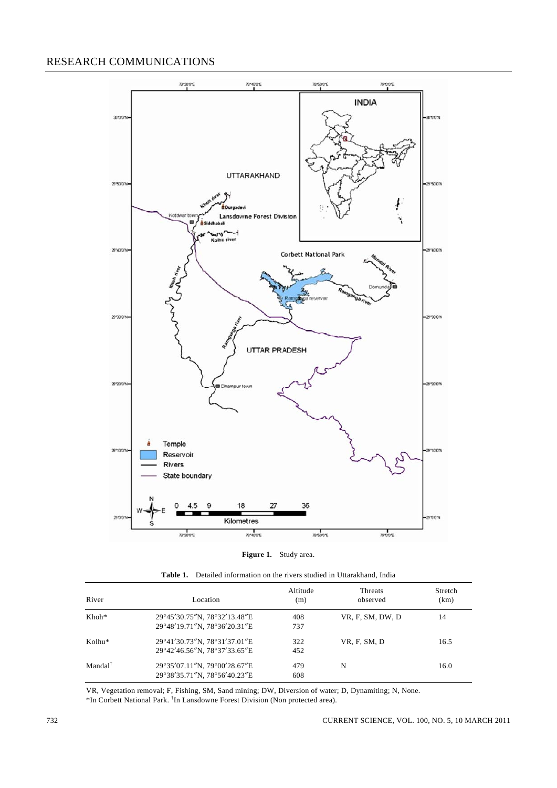### RESEARCH COMMUNICATIONS





|  |  |  |  |  |  |  | <b>Table 1.</b> Detailed information on the rivers studied in Uttarakhand. India |  |
|--|--|--|--|--|--|--|----------------------------------------------------------------------------------|--|
|--|--|--|--|--|--|--|----------------------------------------------------------------------------------|--|

| River              | Location                                                     | Altitude<br>(m) | <b>Threats</b><br>observed | Stretch<br>(km) |
|--------------------|--------------------------------------------------------------|-----------------|----------------------------|-----------------|
| $Khoh*$            | 29°45'30.75"N, 78°32'13.48"E<br>29°48'19.71"N, 78°36'20.31"E | 408<br>737      | VR, F, SM, DW, D           | 14              |
| $Kolhu*$           | 29°41'30.73"N, 78°31'37.01"E<br>29°42'46.56"N, 78°37'33.65"E | 322<br>452      | VR, F, SM, D               | 16.5            |
| $Mandal^{\dagger}$ | 29°35'07.11"N, 79°00'28.67"E<br>29°38'35.71"N, 78°56'40.23"E | 479<br>608      | N                          | 16.0            |

VR, Vegetation removal; F, Fishing, SM, Sand mining; DW, Diversion of water; D, Dynamiting; N, None. \*In Corbett National Park. † In Lansdowne Forest Division (Non protected area).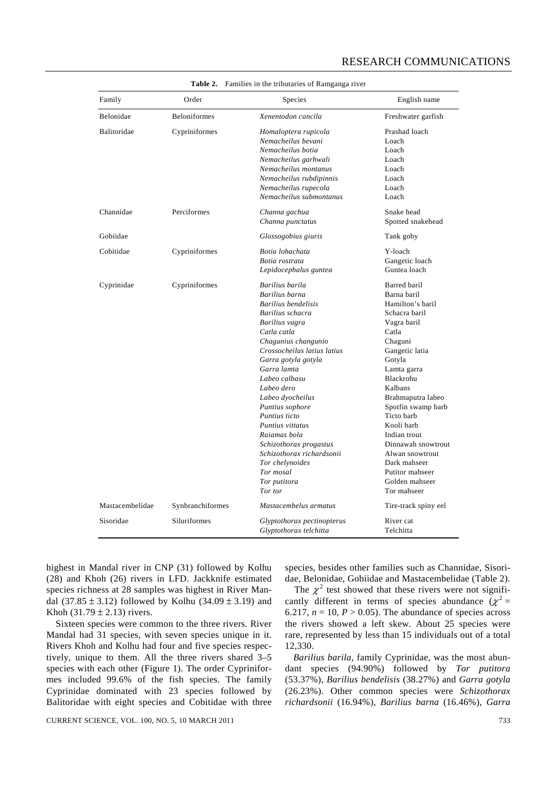| Family             | Order               | Species                     | English name         |
|--------------------|---------------------|-----------------------------|----------------------|
| Belonidae          | <b>Beloniformes</b> | Xenentodon cancila          | Freshwater garfish   |
| <b>Balitoridae</b> | Cypriniformes       | Homaloptera rupicola        | Prashad loach        |
|                    |                     | Nemacheilus bevani          | Loach                |
|                    |                     | Nemacheilus botia           | Loach                |
|                    |                     | Nemacheilus garhwali        | Loach                |
|                    |                     | Nemacheilus montanus        | Loach                |
|                    |                     | Nemacheilus rubdipinnis     | Loach                |
|                    |                     | Nemacheilus rupecola        | Loach                |
|                    |                     | Nemacheilus submontanus     | Loach                |
| Channidae          | Perciformes         | Channa gachua               | Snake head           |
|                    |                     | Channa punctatus            | Spotted snakehead    |
| Gobiidae           |                     | Glossogobius giuris         | Tank goby            |
| Cobitidae          | Cypriniformes       | Botia lohachata             | Y-loach              |
|                    |                     | Botia rostrata              | Gangetic loach       |
|                    |                     | Lepidocephalus guntea       | Guntea loach         |
| Cyprinidae         | Cypriniformes       | Barilius barila             | Barred baril         |
|                    |                     | Barilius barna              | Barna baril          |
|                    |                     | Barilius bendelisis         | Hamilton's baril     |
|                    |                     | Barilius schacra            | Schacra baril        |
|                    |                     | Barilius vagra              | Vagra baril          |
|                    |                     | Catla catla                 | Catla                |
|                    |                     | Chagunius changunio         | Chaguni              |
|                    |                     | Crossocheilus latius latius | Gangetic latia       |
|                    |                     | Garra gotyla gotyla         | Gotyla               |
|                    |                     | Garra lamta                 | Lamta garra          |
|                    |                     | Labeo calbasu               | Blackrohu            |
|                    |                     | Labeo dero                  | Kalbans              |
|                    |                     | Labeo dyocheilus            | Brahmaputra labeo    |
|                    |                     | Puntius sophore             | Spotfin swamp barb   |
|                    |                     | Puntius ticto               | Ticto barb           |
|                    |                     | Puntius vittatus            | Kooli barb           |
|                    |                     | Raiamas bola                | Indian trout         |
|                    |                     | Schizothorax progastus      | Dinnawah snowtrout   |
|                    |                     | Schizothorax richardsonii   | Alwan snowtrout      |
|                    |                     | Tor chelynoides             | Dark mahseer         |
|                    |                     | Tor mosal                   | Putitor mahseer      |
|                    |                     | Tor putitora                | Golden mahseer       |
|                    |                     | Tor tor                     | Tor mahseer          |
| Mastacembelidae    | Synbranchiformes    | Mastacembelus armatus       | Tire-track spiny eel |
| Sisoridae          | Siluriformes        | Glyptothorax pectinopterus  | River cat            |
|                    |                     | Glyptothorax telchitta      | Telchitta            |

**Table 2.** Families in the tributaries of Ramganga river

highest in Mandal river in CNP (31) followed by Kolhu (28) and Khoh (26) rivers in LFD. Jackknife estimated species richness at 28 samples was highest in River Mandal  $(37.85 \pm 3.12)$  followed by Kolhu  $(34.09 \pm 3.19)$  and Khoh  $(31.79 \pm 2.13)$  rivers.

 Sixteen species were common to the three rivers. River Mandal had 31 species, with seven species unique in it. Rivers Khoh and Kolhu had four and five species respectively, unique to them. All the three rivers shared 3–5 species with each other (Figure 1). The order Cypriniformes included 99.6% of the fish species. The family Cyprinidae dominated with 23 species followed by Balitoridae with eight species and Cobitidae with three species, besides other families such as Channidae, Sisoridae, Belonidae, Gobiidae and Mastacembelidae (Table 2).

The  $\chi^2$  test showed that these rivers were not significantly different in terms of species abundance  $(\chi^2 =$ 6.217,  $n = 10$ ,  $P > 0.05$ ). The abundance of species across the rivers showed a left skew. About 25 species were rare, represented by less than 15 individuals out of a total 12,330.

 *Barilius barila*, family Cyprinidae, was the most abundant species (94.90%) followed by *Tor putitora* (53.37%), *Barilius bendelisis* (38.27%) and *Garra gotyla* (26.23%). Other common species were *Schizothorax richardsonii* (16.94%), *Barilius barna* (16.46%), *Garra*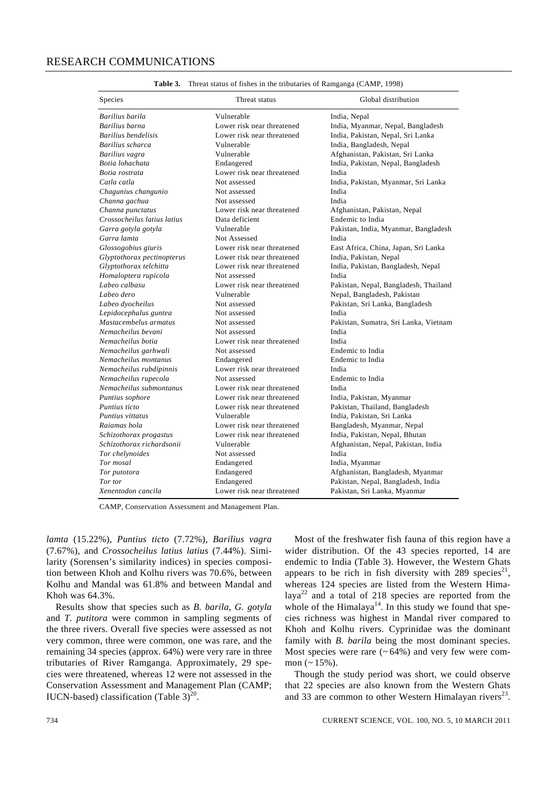| Species                     | Threat status              | Global distribution                   |
|-----------------------------|----------------------------|---------------------------------------|
| Barilius barila             | Vulnerable                 | India, Nepal                          |
| Barilius barna              | Lower risk near threatened | India, Myanmar, Nepal, Bangladesh     |
| Barilius bendelisis         | Lower risk near threatened | India, Pakistan, Nepal, Sri Lanka     |
| Barilius scharca            | Vulnerable                 | India, Bangladesh, Nepal              |
| Barilius vagra              | Vulnerable                 | Afghanistan, Pakistan, Sri Lanka      |
| Botia lohachata             | Endangered                 | India, Pakistan, Nepal, Bangladesh    |
| Botia rostrata              | Lower risk near threatened | India                                 |
| Catla catla                 | Not assessed               | India, Pakistan, Myanmar, Sri Lanka   |
| Chagunius changunio         | Not assessed               | India                                 |
| Channa gachua               | Not assessed               | India                                 |
| Channa punctatus            | Lower risk near threatened | Afghanistan, Pakistan, Nepal          |
| Crossocheilus latius latius | Data deficient             | Endemic to India                      |
| Garra gotyla gotyla         | Vulnerable                 | Pakistan, India, Myanmar, Bangladesh  |
| Garra lamta                 | Not Assessed               | India                                 |
| Glossogobius giuris         | Lower risk near threatened | East Africa, China, Japan, Sri Lanka  |
| Glyptothorax pectinopterus  | Lower risk near threatened | India, Pakistan, Nepal                |
| Glyptothorax telchitta      | Lower risk near threatened | India, Pakistan, Bangladesh, Nepal    |
| Homaloptera rupicola        | Not assessed               | India                                 |
| Labeo calbasu               | Lower risk near threatened | Pakistan, Nepal, Bangladesh, Thailand |
| Labeo dero                  | Vulnerable                 | Nepal, Bangladesh, Pakistan           |
| Labeo dyocheilus            | Not assessed               | Pakistan, Sri Lanka, Bangladesh       |
| Lepidocephalus guntea       | Not assessed               | India                                 |
| Mastacembelus armatus       | Not assessed               | Pakistan, Sumatra, Sri Lanka, Vietnam |
| Nemacheilus bevani          | Not assessed               | India                                 |
| Nemacheilus botia           | Lower risk near threatened | India                                 |
| Nemacheilus garhwali        | Not assessed               | Endemic to India                      |
| Nemacheilus montanus        | Endangered                 | Endemic to India                      |
| Nemacheilus rubdipinnis     | Lower risk near threatened | India                                 |
| Nemacheilus rupecola        | Not assessed               | Endemic to India                      |
| Nemacheilus submontanus     | Lower risk near threatened | India                                 |
| Puntius sophore             | Lower risk near threatened | India, Pakistan, Myanmar              |
| Puntius ticto               | Lower risk near threatened | Pakistan, Thailand, Bangladesh        |
| Puntius vittatus            | Vulnerable                 | India, Pakistan, Sri Lanka            |
| Raiamas bola                | Lower risk near threatened | Bangladesh, Myanmar, Nepal            |
| Schizothorax progastus      | Lower risk near threatened | India, Pakistan, Nepal, Bhutan        |
| Schizothorax richardsonii   | Vulnerable                 | Afghanistan, Nepal, Pakistan, India   |
| Tor chelynoides             | Not assessed               | India                                 |
| Tor mosal                   | Endangered                 | India, Myanmar                        |
| Tor putotora                | Endangered                 | Afghanistan, Bangladesh, Myanmar      |
| Tor tor                     | Endangered                 | Pakistan, Nepal, Bangladesh, India    |
| Xenentodon cancila          | Lower risk near threatened | Pakistan, Sri Lanka, Myanmar          |

**Table 3.** Threat status of fishes in the tributaries of Ramganga (CAMP, 1998)

CAMP, Conservation Assessment and Management Plan.

*lamta* (15.22%), *Puntius ticto* (7.72%), *Barilius vagra* (7.67%), and *Crossocheilus latius latius* (7.44%). Similarity (Sorensen's similarity indices) in species composition between Khoh and Kolhu rivers was 70.6%, between Kolhu and Mandal was 61.8% and between Mandal and Khoh was 64.3%.

 Results show that species such as *B. barila*, *G. gotyla* and *T. putitora* were common in sampling segments of the three rivers. Overall five species were assessed as not very common, three were common, one was rare, and the remaining 34 species (approx. 64%) were very rare in three tributaries of River Ramganga. Approximately, 29 species were threatened, whereas 12 were not assessed in the Conservation Assessment and Management Plan (CAMP; IUCN-based) classification (Table  $3)^{20}$ .

 Most of the freshwater fish fauna of this region have a wider distribution. Of the 43 species reported, 14 are endemic to India (Table 3). However, the Western Ghats appears to be rich in fish diversity with 289 species<sup>21</sup>, whereas 124 species are listed from the Western Himalaya<sup>22</sup> and a total of 218 species are reported from the whole of the Himalaya<sup>14</sup>. In this study we found that species richness was highest in Mandal river compared to Khoh and Kolhu rivers. Cyprinidae was the dominant family with *B. barila* being the most dominant species. Most species were rare  $({\sim}64%)$  and very few were common  $($  ~ 15%).

 Though the study period was short, we could observe that 22 species are also known from the Western Ghats and 33 are common to other Western Himalayan rivers<sup>23</sup>.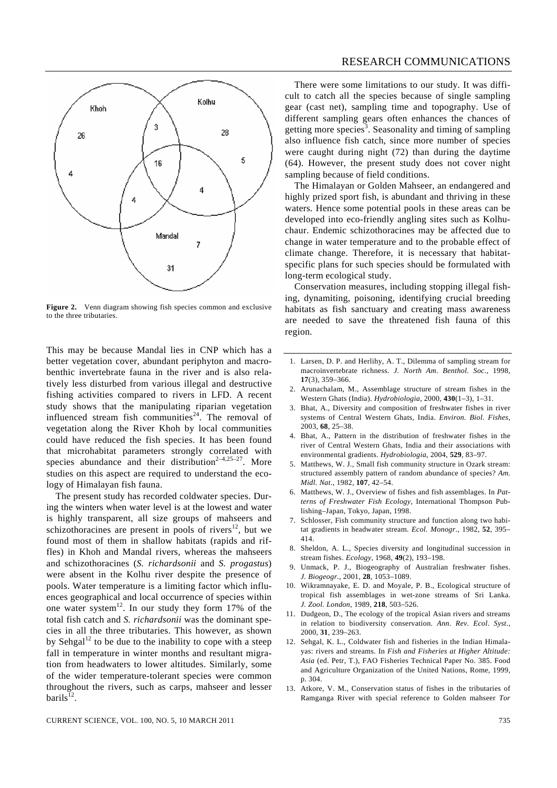

**Figure 2.** Venn diagram showing fish species common and exclusive to the three tributaries.

This may be because Mandal lies in CNP which has a better vegetation cover, abundant periphyton and macrobenthic invertebrate fauna in the river and is also relatively less disturbed from various illegal and destructive fishing activities compared to rivers in LFD. A recent study shows that the manipulating riparian vegetation influenced stream fish communities<sup>24</sup>. The removal of vegetation along the River Khoh by local communities could have reduced the fish species. It has been found that microhabitat parameters strongly correlated with species abundance and their distribution<sup>2-4,25-27</sup>. More studies on this aspect are required to understand the ecology of Himalayan fish fauna.

 The present study has recorded coldwater species. During the winters when water level is at the lowest and water is highly transparent, all size groups of mahseers and schizothoracines are present in pools of rivers $12$ , but we found most of them in shallow habitats (rapids and riffles) in Khoh and Mandal rivers, whereas the mahseers and schizothoracines (*S. richardsonii* and *S. progastus*) were absent in the Kolhu river despite the presence of pools. Water temperature is a limiting factor which influences geographical and local occurrence of species within one water system<sup>12</sup>. In our study they form 17% of the total fish catch and *S. richardsonii* was the dominant species in all the three tributaries. This however, as shown by Sehgal<sup>12</sup> to be due to the inability to cope with a steep fall in temperature in winter months and resultant migration from headwaters to lower altitudes. Similarly, some of the wider temperature-tolerant species were common throughout the rivers, such as carps, mahseer and lesser barils<sup> $12$ </sup>.

 There were some limitations to our study. It was difficult to catch all the species because of single sampling gear (cast net), sampling time and topography. Use of different sampling gears often enhances the chances of getting more species<sup>3</sup>. Seasonality and timing of sampling also influence fish catch, since more number of species were caught during night (72) than during the daytime (64). However, the present study does not cover night sampling because of field conditions.

 The Himalayan or Golden Mahseer, an endangered and highly prized sport fish, is abundant and thriving in these waters. Hence some potential pools in these areas can be developed into eco-friendly angling sites such as Kolhuchaur. Endemic schizothoracines may be affected due to change in water temperature and to the probable effect of climate change. Therefore, it is necessary that habitatspecific plans for such species should be formulated with long-term ecological study.

 Conservation measures, including stopping illegal fishing, dynamiting, poisoning, identifying crucial breeding habitats as fish sanctuary and creating mass awareness are needed to save the threatened fish fauna of this region.

- 1. Larsen, D. P. and Herlihy, A. T., Dilemma of sampling stream for macroinvertebrate richness. *J. North Am. Benthol. Soc*., 1998, **17**(3), 359–366.
- 2. Arunachalam, M., Assemblage structure of stream fishes in the Western Ghats (India). *Hydrobiologia*, 2000, **430**(1–3), 1–31.
- 3. Bhat, A., Diversity and composition of freshwater fishes in river systems of Central Western Ghats, India. *Environ. Biol. Fishes*, 2003, **68**, 25–38.
- 4. Bhat, A., Pattern in the distribution of freshwater fishes in the river of Central Western Ghats, India and their associations with environmental gradients. *Hydrobiologia*, 2004, **529**, 83–97.
- 5. Matthews, W. J., Small fish community structure in Ozark stream: structured assembly pattern of random abundance of species? *Am. Midl. Nat*., 1982, **107**, 42–54.
- 6. Matthews, W. J., Overview of fishes and fish assemblages. In *Patterns of Freshwater Fish Ecology*, International Thompson Publishing–Japan, Tokyo, Japan, 1998.
- 7. Schlosser, Fish community structure and function along two habitat gradients in headwater stream. *Ecol. Monogr*., 1982, **52**, 395– 414.
- 8. Sheldon, A. L., Species diversity and longitudinal succession in stream fishes. *Ecology*, 1968, **49**(2), 193–198.
- 9. Unmack, P. J., Biogeography of Australian freshwater fishes. *J. Biogeogr.*, 2001, **28**, 1053–1089.
- 10. Wikramnayake, E. D. and Moyale, P. B., Ecological structure of tropical fish assemblages in wet-zone streams of Sri Lanka. *J. Zool. London*, 1989, **218**, 503–526.
- 11. Dudgeon, D., The ecology of the tropical Asian rivers and streams in relation to biodiversity conservation. *Ann. Rev. Ecol. Syst*., 2000, **31**, 239–263.
- 12. Sehgal, K. L., Coldwater fish and fisheries in the Indian Himalayas: rivers and streams. In *Fish and Fisheries at Higher Altitude: Asia* (ed. Petr, T.), FAO Fisheries Technical Paper No. 385. Food and Agriculture Organization of the United Nations, Rome, 1999, p. 304.
- 13. Atkore, V. M., Conservation status of fishes in the tributaries of Ramganga River with special reference to Golden mahseer *Tor*